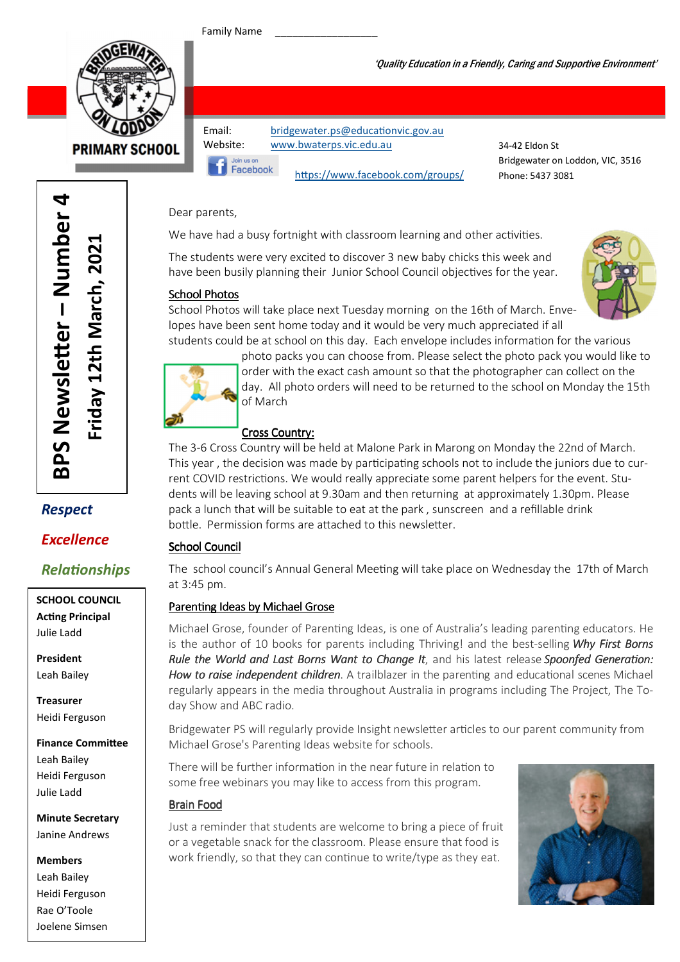Family Name

Facebook



**PRIMARY SCHOOL** 

Email: bridgewater.ps@educationvic.gov.au Website: www.bwaterps.vic.edu.au

34-42 Eldon St Bridgewater on Loddon, VIC, 3516 Phone: 5437 3081

## Dear parents,

We have had a busy fortnight with classroom learning and other activities.

The students were very excited to discover 3 new baby chicks this week and have been busily planning their Junior School Council objectives for the year.

### School Photos



School Photos will take place next Tuesday morning on the 16th of March. Envelopes have been sent home today and it would be very much appreciated if all students could be at school on this day. Each envelope includes information for the various

https://www.facebook.com/groups/

photo packs you can choose from. Please select the photo pack you would like to order with the exact cash amount so that the photographer can collect on the day. All photo orders will need to be returned to the school on Monday the 15th of March

## Cross Country:

The 3-6 Cross Country will be held at Malone Park in Marong on Monday the 22nd of March. This year, the decision was made by participating schools not to include the juniors due to current COVID restrictions. We would really appreciate some parent helpers for the event. Students will be leaving school at 9.30am and then returning at approximately 1.30pm. Please pack a lunch that will be suitable to eat at the park , sunscreen and a refillable drink bottle. Permission forms are attached to this newsletter.

## **School Council**

The school council's Annual General Meeting will take place on Wednesday the 17th of March at 3:45 pm.

## Parenting Ideas by Michael Grose

Michael Grose, founder of Parenting Ideas, is one of Australia's leading parenting educators. He is the author of 10 books for parents including Thriving! and the best-selling Why First Borns Rule the World and Last Borns Want to Change It, and his latest release Spoonfed Generation: How to raise independent children. A trailblazer in the parenting and educational scenes Michael regularly appears in the media throughout Australia in programs including The Project, The Today Show and ABC radio.

Bridgewater PS will regularly provide Insight newsletter articles to our parent community from Michael Grose's Parenting Ideas website for schools.

There will be further information in the near future in relation to some free webinars you may like to access from this program.

## Brain Food

Just a reminder that students are welcome to bring a piece of fruit or a vegetable snack for the classroom. Please ensure that food is work friendly, so that they can continue to write/type as they eat.



er – Number 4 BPS Newsletter - Number 4 Friday 12th March, 2021 Friday 12th March, 2021 BPS Newsle

## Respect

## Excellence

## Relationships

SCHOOL COUNCIL **Acting Principal** Julie Ladd

President Leah Bailey

Treasurer Heidi Ferguson

Finance Committee Leah Bailey Heidi Ferguson Julie Ladd

Minute Secretary Janine Andrews

#### Members

Leah Bailey Heidi Ferguson Rae O'Toole Joelene Simsen

### 'Quality Education in a Friendly, Caring and Supportive Environment'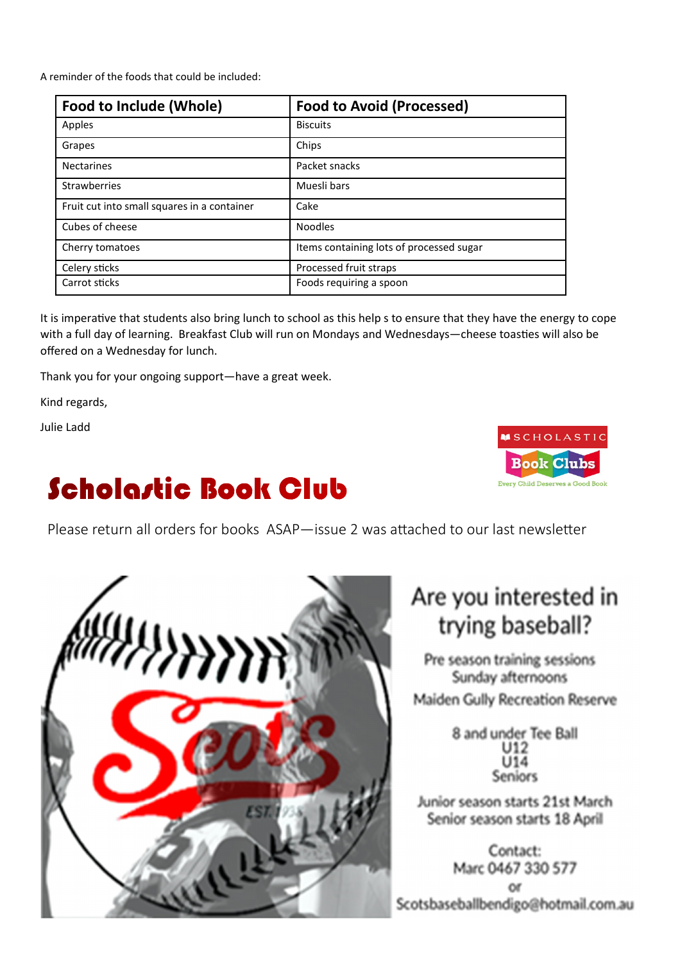A reminder of the foods that could be included:

| Food to Include (Whole)                     | <b>Food to Avoid (Processed)</b>         |  |
|---------------------------------------------|------------------------------------------|--|
| Apples                                      | <b>Biscuits</b>                          |  |
| Grapes                                      | Chips                                    |  |
| <b>Nectarines</b>                           | Packet snacks                            |  |
| <b>Strawberries</b>                         | Muesli bars                              |  |
| Fruit cut into small squares in a container | Cake                                     |  |
| Cubes of cheese                             | <b>Noodles</b>                           |  |
| Cherry tomatoes                             | Items containing lots of processed sugar |  |
| Celery sticks                               | Processed fruit straps                   |  |
| Carrot sticks                               | Foods requiring a spoon                  |  |

It is imperative that students also bring lunch to school as this help s to ensure that they have the energy to cope with a full day of learning. Breakfast Club will run on Mondays and Wednesdays—cheese toasties will also be offered on a Wednesday for lunch.

Thank you for your ongoing support—have a great week.

Kind regards,

Julie Ladd

# **Scholastic Book Club**





# Are you interested in trying baseball?

Pre season training sessions Sunday afternoons Maiden Gully Recreation Reserve

> 8 and under Tee Ball **Seniors**

Junior season starts 21st March Senior season starts 18 April

Contact: Marc 0467 330 577 or Scotsbaseballbendigo@hotmail.com.au